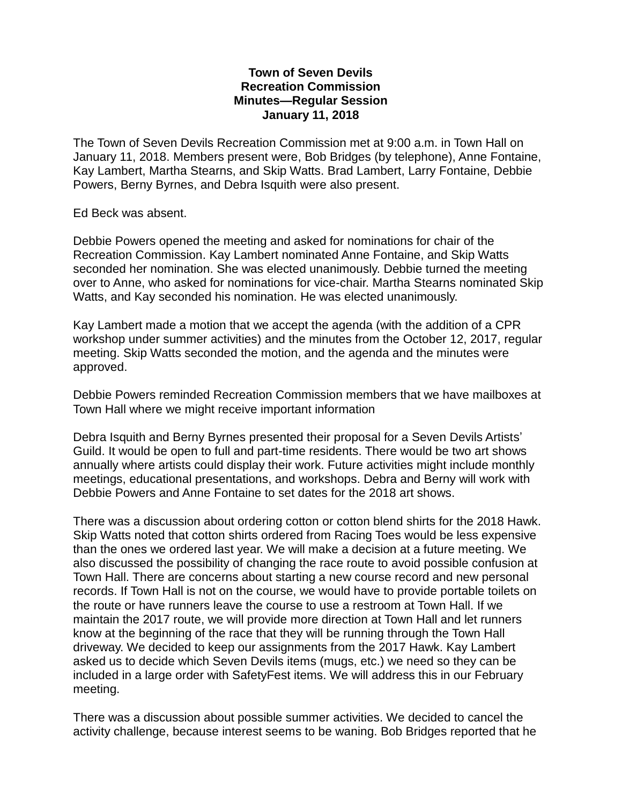## **Town of Seven Devils Recreation Commission Minutes—Regular Session January 11, 2018**

The Town of Seven Devils Recreation Commission met at 9:00 a.m. in Town Hall on January 11, 2018. Members present were, Bob Bridges (by telephone), Anne Fontaine, Kay Lambert, Martha Stearns, and Skip Watts. Brad Lambert, Larry Fontaine, Debbie Powers, Berny Byrnes, and Debra Isquith were also present.

Ed Beck was absent.

Debbie Powers opened the meeting and asked for nominations for chair of the Recreation Commission. Kay Lambert nominated Anne Fontaine, and Skip Watts seconded her nomination. She was elected unanimously. Debbie turned the meeting over to Anne, who asked for nominations for vice-chair. Martha Stearns nominated Skip Watts, and Kay seconded his nomination. He was elected unanimously.

Kay Lambert made a motion that we accept the agenda (with the addition of a CPR workshop under summer activities) and the minutes from the October 12, 2017, regular meeting. Skip Watts seconded the motion, and the agenda and the minutes were approved.

Debbie Powers reminded Recreation Commission members that we have mailboxes at Town Hall where we might receive important information

Debra Isquith and Berny Byrnes presented their proposal for a Seven Devils Artists' Guild. It would be open to full and part-time residents. There would be two art shows annually where artists could display their work. Future activities might include monthly meetings, educational presentations, and workshops. Debra and Berny will work with Debbie Powers and Anne Fontaine to set dates for the 2018 art shows.

There was a discussion about ordering cotton or cotton blend shirts for the 2018 Hawk. Skip Watts noted that cotton shirts ordered from Racing Toes would be less expensive than the ones we ordered last year. We will make a decision at a future meeting. We also discussed the possibility of changing the race route to avoid possible confusion at Town Hall. There are concerns about starting a new course record and new personal records. If Town Hall is not on the course, we would have to provide portable toilets on the route or have runners leave the course to use a restroom at Town Hall. If we maintain the 2017 route, we will provide more direction at Town Hall and let runners know at the beginning of the race that they will be running through the Town Hall driveway. We decided to keep our assignments from the 2017 Hawk. Kay Lambert asked us to decide which Seven Devils items (mugs, etc.) we need so they can be included in a large order with SafetyFest items. We will address this in our February meeting.

There was a discussion about possible summer activities. We decided to cancel the activity challenge, because interest seems to be waning. Bob Bridges reported that he